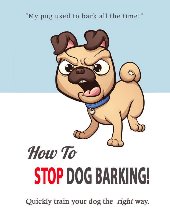# "My pug used to bark all the time!"



Quickly train your dog the right way.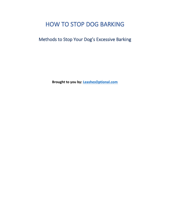# HOW TO STOP DOG BARKING

Methods to Stop Your Dog's Excessive Barking

**Brought to you by: [LeashesOptional.com](https://www.leashesoptional.com/)**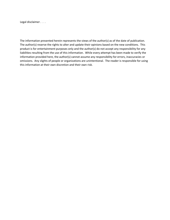Legal disclaimer . . .

The information presented herein represents the views of the author(s) as of the date of publication. The author(s) reserve the rights to alter and update their opinions based on the new conditions. This product is for entertainment purposes only and the author(s) do not accept any responsibility for any liabilities resulting from the use of this information. While every attempt has been made to verify the information provided here, the author(s) cannot assume any responsibility for errors, inaccuracies or omissions. Any slights of people or organizations are unintentional. The reader is responsible for using this information at their own discretion and their own risk.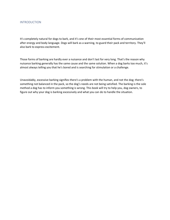## INTRODUCTION

It's completely natural for dogs to bark, and it's one of their most essential forms of communication after energy and body language. Dogs will bark as a warning, to guard their pack and territory. They'll also bark to express excitement.

Those forms of barking are hardly ever a nuisance and don't last for very long. That's the reason why nuisance barking generally has the same cause and the same solution. When a dog barks too much, it's almost always telling you that he's bored and is searching for stimulation or a challenge.

Unavoidably, excessive barking signifies there's a problem with the human, and not the dog; there's something not balanced in the pack, so the dog's needs are not being satisfied. The barking is the sole method a dog has to inform you something is wrong. This book will try to help you, dog owners, to figure out why your dog is barking excessively and what you can do to handle the situation.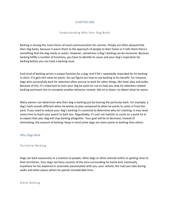# CHAPTER ONE

## Understanding Why Your Dog Barks

Barking is among the many forms of vocal communication for canines. People are often pleased that their dog barks, because it warns them to the approach of people to their home or it tells them there's something that the dog needs or wants. However, sometimes a dog's barking can be excessive. Because barking fulfills a number of functions, you have to identify its cause and your dog's inspiration for barking before you can treat a barking issue.

Each kind of barking serves a unique function for a dog, and if he's repeatedly rewarded for his barkingin short, if it gets him what he wants -he can figure out how to use barking to his benefit. For instance, dogs who successfully bark for attention often pursue to bark for other things, like food, play and walks. Because of this, it's important to train your dog be quiet on cue to help you stop his attention-related barking and teach him to complete another behavior instead -like sit or down -to obtain what he wants.

Many owners can determine why their dog is barking just by hearing the particular bark. For example, a dog's bark sounds different when he wishes to play compared to when he wants to come in from the yard. If you need to reduce your dog's barking it's essential to determine why he's barking. It may need some time to teach your pooch to bark less. Regrettably, it's just not realistic to count on a quick fix or to expect that your dog will stop barking altogether. Your goal will be to decrease, instead of eliminating, the amount of barking. Keep in mind some dogs are more prone to barking than others.

## Why Dogs Bark

#### Territorial Barking

Dogs can bark excessively as a reaction to people, other dogs or other animals within or getting close to their territories. Your dog's territory consists of the area surrounding his home and, eventually, anywhere he has explored or associates passionately with you: your vehicle, the road you take during walks and other places where he spends considerable time.

Alarm Barking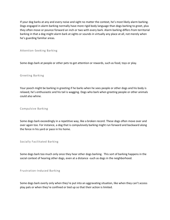If your dog barks at any and every noise and sight no matter the context, he's most likely alarm barking. Dogs engaged in alarm barking normally have more rigid body language than dogs barking to greet, plus they often move or pounce forward an inch or two with every bark. Alarm barking differs from territorial barking in that a dog might alarm bark at sights or sounds in virtually any place at all, not merely when he's guarding familiar areas.

#### Attention-Seeking Barking

Some dogs bark at people or other pets to get attention or rewards, such as food, toys or play.

#### Greeting Barking

Your pooch might be barking in greeting if he barks when he sees people or other dogs and his body is relaxed, he's enthusiastic and his tail is wagging. Dogs who bark when greeting people or other animals could also whine.

#### Compulsive Barking

Some dogs bark exceedingly in a repetitive way, like a broken record. These dogs often move over and over again too. For instance, a dog that is compulsively barking might run forward and backward along the fence in his yard or pace in his home.

Socially Facilitated Barking

Some dogs bark too much only once they hear other dogs barking. This sort of barking happens in the social context of hearing other dogs, even at a distance -such as dogs in the neighborhood.

Frustration-Induced Barking

Some dogs bark overly only when they're put into an aggravating situation, like when they can't access play pals or when they're confined or tied up so that their action is limited.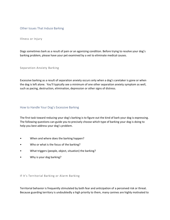# Other Issues That Induce Barking

Illness or Injury

Dogs sometimes bark as a result of pain or an agonizing condition. Before trying to resolve your dog's barking problem, please have your pet examined by a vet to eliminate medical causes.

Separation-Anxiety Barking

Excessive barking as a result of separation anxiety occurs only when a dog's caretaker is gone or when the dog is left alone. You'll typically see a minimum of one other separation anxiety symptom as well, such as pacing, destruction, elimination, depression or other signs of distress.

How to Handle Your Dog's Excessive Barking

The first task toward reducing your dog's barking is to figure out the kind of bark your dog is expressing. The following questions can guide you to precisely choose which type of barking your dog is doing to help you best address your dog's problem.

- When and where does the barking happen?
- Who or what is the focus of the barking?
- What triggers (people, object, situation) the barking?
- Why is your dog barking?

#### If It's Territorial Barking or Alarm Barking

Territorial behavior is frequently stimulated by both fear and anticipation of a perceived risk or threat. Because guarding territory is undoubtedly a high priority to them, many canines are highly motivated to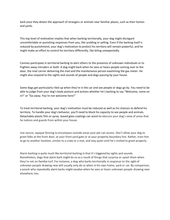bark once they detect the approach of strangers or animals near familiar places, such as their homes and yards.

This top level of motivation implies that when barking territorially, your dog might disregard uncomfortable or punishing responses from you, like scolding or yelling. Even if the barking itself is reduced by punishment, your dog's motivation to protect his territory will remain powerful, and he might make an effort to control his territory differently, like biting unexpectedly.

Canines participate in territorial barking to alert others to the presence of unknown individuals or to frighten away intruders or both. A dog might bark when he sees or hears people coming over to the door, the mail carrier delivering the mail and the maintenance person examining the gas meter. He might also respond to the sights and sounds of people and dogs passing by your house.

Some dogs get particularly riled up when they're in the car and see people or dogs go by. You need to be able to judge from your dog's body posture and actions whether he's barking to say "Welcome, come on in!" or "Go away. You're not welcome here!"

To treat territorial barking, your dog's motivation must be reduced as well as his chances to defend his territory. To handle your dog's behavior, you'll need to block his capacity to see people and animals. Detachable plastic film or spray -based glass coatings can assist to obscure your dog's view of areas that he notices and guards from within your house.

Use secure, opaque fencing to encompass outside areas your pet can access. Don't allow your dog to greet folks at the front door, at your front yard gate or at your property boundary line. Rather, train him to go to another location, similar to a crate or a mat, and stay quiet until he's invited to greet properly.

Alarm barking is quite much like territorial barking in that it's triggered by sights and sounds. Nonetheless, dogs that alarm bark might do so as a result of things that surprise or upset them when they're not on familiar turf. For instance, a dog who barks territorially in response to the sight of unknown people drawing near will usually only do so when in his own home, yard or car. By comparison, a pooch who repeatedly alarm barks might vocalize when he sees or hears unknown people drawing near elsewhere, too.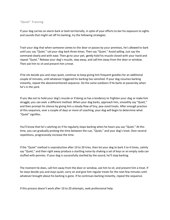#### "Quiet" Training

If your dog carries on alarm bark or bark territorially, in spite of your efforts to bar his exposure to sights and sounds that might set off his barking, try the following strategies:

Train your dog that when someone comes to the door or passes by your premises, he's allowed to bark until you say "Quiet." Let your dog bark three times. Then say "Quiet." Avoid yelling. Just say the command clearly and with ease. Then go to your pet, gently hold his muzzle closed with your hand and repeat "Quiet." Release your dog's muzzle, step away, and call him away from the door or window. Then ask him to sit and present him a treat.

If he sits beside you and stays quiet, continue to keep giving him frequent goodies for an additional couple of minutes, until whatever triggered his barking has vanished. If your dog resumes barking instantly, repeat the abovementioned sequence. Do the same outdoors if he barks at passersby when he's in the yard.

If you like not to hold your dog's muzzle or if doing so has a tendency to frighten your dog or make him struggle, you can seek a different method. When your dog barks, approach him, smoothly say "Quiet," and then prompt his silence by giving him a steady flow of tiny, pea-sized treats. After enough practice of this sequence, over a couple of days or more of coaching, your dog will begin to determine what "Quiet" signifies.

You'll know that he's catching on if he regularly stops barking when he hears you say "Quiet." At this time, you can gradually prolong the time between the cue, "Quiet," and your dog's treat. Over several repetitions, progressively increase the time.

If the "Quiet" method is unproductive after 10 to 20 tries, then let your dog to bark 3 to 4 times, calmly say "Quiet," and then right away produce a startling noise by shaking a set of keys or an empty soda can stuffed with pennies. If your dog is successfully startled by the sound, he'll stop barking.

The moment he does, call him away from the door or window, ask him to sit, and present him a treat. If he stays beside you and stays quiet, carry on and give him regular treats for the next few minutes until whatever brought about his barking is gone. If he continues barking instantly, repeat the sequence.

If this process doesn't work after 10 to 20 attempts, seek professional help.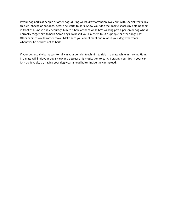If your dog barks at people or other dogs during walks, draw attention away him with special treats, like chicken, cheese or hot dogs, before he starts to bark. Show your dog the doggie snacks by holding them in front of his nose and encourage him to nibble at them while he's walking past a person or dog who'd normally trigger him to bark. Some dogs do best if you ask them to sit as people or other dogs pass. Other canines would rather move. Make sure you compliment and reward your dog with treats whenever he decides not to bark.

If your dog usually barks territorially in your vehicle, teach him to ride in a crate while in the car. Riding in a crate will limit your dog's view and decrease his motivation to bark. If crating your dog in your car isn't achievable, try having your dog wear a head halter inside the car instead.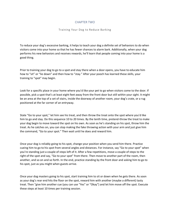# CHAPTER TWO

#### Training Your Dog to Reduce Barking

To reduce your dog's excessive barking, it helps to teach your dog a definite set of behaviors to do when visitors come into your home so that he has fewer chances to alarm bark. Additionally, when your dog performs his new behaviors and receives rewards, he'll learn that people coming into your home is a good thing.

Prior to training your dog to go to a spot and stay there when a door opens, you have to educate him how to "sit" or "lie down" and then how to "stay." After your pooch has learned these skills, your training to "spot" may begin.

Look for a specific place in your home where you'd like your pet to go when visitors come to the door. If possible, pick a spot that's at least eight feet away from the front door but still within your sight. It might be an area at the top of a set of stairs, inside the doorway of another room, your dog's crate, or a rug positioned at the far corner of an entryway.

State "Go to your spot," let him see his treat, and then throw the treat onto the spot where you'd like him to go and stay. Do this sequence 10 to 20 times. By the tenth time, pretend-throw the treat to make your dog begin to move toward the spot on his own. As soon as he's standing on his spot, throw him the treat. As he catches on, you can stop making the fake throwing action with your arm and just give him the command, "Go to your spot." Then wait until he does and reward him.

Once your dog is reliably going to his spot, change your position when you send him there. Practice cueing him to go to his spot from several angles and distances. For instance, say "Go to your spot" when you're standing just a couple of steps left of it. After a few repetitions, move a couple of steps to the right of the spot and say, "Go to your spot" from there. Then move to another part of the room, then another, and so on and so forth. In the end, practice standing by the front door and asking him to go to his spot, just as you might when guests arrive.

Once your dog masters going to his spot, start training him to sit or down when he gets there. As soon as your dog's rear end hits the floor on the spot, reward him with another (maybe a different) tasty treat. Then "give him another cue (you can use "Yes" or "Okay") and let him move off the spot. Execute these steps at least 10 times per training session.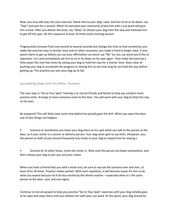Now, you may add stay into your exercise. Stand next to your dog's spot. Ask him to sit or lie down, say "Stay" and wait for a second. When he executed your command, praise him with a cue word and give him a treat. After you deliver the treat, say "Okay" to release your dog from the stay and motivate him to get off the spot. Do this sequence at least 10 times every training session.

Progressively increase from one second to several seconds but change the time so that sometimes you make the exercise easy (a shorter stay) and on other occasions, you make it hard (a longer stay). If your pooch starts to get up before you say your affirmative cue word, say "No" (or any cue word you'd like to represent 'no') and immediately ask him to sit or lie down on his spot again. Then make the exercise a little easier the next few times by asking your dog to hold the stay for a shorter time. Steer clear of pushing your dog to accelerate the progress or testing him to see how long he can hold the stay before getting up. This practice just sets your dog up to fail.

## Succeeding Steps with His Other 'Humans'

The next step in "Go to Your Spot" training is to recruit friends and family to help you conduct mock practice visits. Arrange to have someone come to the door. You will work with your dog to help him stay on his own.

Be prepared! This will likely take some time before he actually gets the drill. When you open the door, one of two things can happen.

• Scenario A: Sometimes you leave your dog there on his spot while you talk to the person at the door, as if your visitor is a courier or delivery person. Your dog never gets to say hello. (However, you, the person or both of you should frequently toss treats to your dog to reward him for staying.)

Scenario B: At other times, invite the visitor in. Wait until the person sits down somewhere, and then release your dog to join you and your visitor.

When you have a friend help you with a mock visit, be sure to rep eat the scenario over and over, at least 10 to 20 times. Practice makes perfect. With each repetition, it will become easier for him to do what you expect because he'll be less excited by the whole routine— especially when it's the same person at the door, over and over again.

Continue to recruit people to help you practice "Go to Your Spot" exercises until your dog reliably goes to his spot and stays there until you release him with your cue word. At this point, your dog should be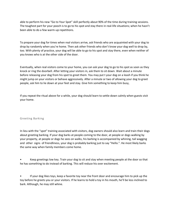able to perform his new "Go to Your Spot" skill perfectly about 90% of the time during training sessions. The toughest part for your pooch is to go to his spot and stay there in real-life situations; when he hasn't been able to do a few warm-up repetitions.

To prepare your dog for times when real visitors arrive, ask friends who are acquainted with your dog to drop by randomly when you're home. Then ask other friends who don't know your dog well to drop by, too. With plenty of practice, your dog will be able to go to his spot and stay there, even when neither of you knows who is at the other side of the door.

Eventually, when real visitors come to your home, you can ask your dog to go to his spot as soon as they knock or ring the doorbell. After letting your visitors in, ask them to sit down. Wait about a minute before releasing your dog from his spot to greet them. You may put t your dog on a leash if you think he might jump on your visitors or behave aggressively. After a minute or two of allowing your dog to greet people, ask him to lie down at your feet and stay. Give him something to keep him busy,

If you repeat the ritual above for a while, your dog should learn to settle down calmly when guests visit your home.

## Greeting Barking

In lieu with the "spot" training associated with visitors, dog owners should also learn and train their dogs about greeting barking. If your dog barks at people coming to the door, at people or dogs walking by your property, at people or dogs he sees on walks, his barking is accompanied by whining, tail wagging and other signs of friendliness, your dog is probably barking just to say "Hello.". He most likely barks the same way when family members come home.

• Keep greetings low key. Train your dog to sit and stay when meeting people at the door so that he has something to do instead of barking. This will reduce his over excitement.

• If your dog likes toys, keep a favorite toy near the front door and encourage him to pick up the toy before he greets you or your visitors. If he learns to hold a toy in his mouth, he'll be less inclined to bark. Although, he may still whine.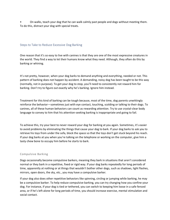• On walks, teach your dog that he can walk calmly past people and dogs without meeting them. To do this, distract your dog with special treats.

# Steps to Take to Reduce Excessive Dog Barking

One reason that it's so easy to live with canines is that they are one of the most expressive creatures in the world. They find a way to let their humans know what they need. Although, they often do this by barking or whining.

It's not pretty, however, when your dog barks to demand anything and everything, needed or not. This pattern of barking does not happen by accident. A demanding, noisy dog has been taught to be this way (normally, not in purpose). To get your dog to stop, you'll need to consistently not reward him for barking. Don't try to figure out exactly why he's barking. Ignore him instead.

Treatment for this kind of barking can be tough because, most of the time, dog parents unwittingly reinforce the behavior—sometimes just with eye contact, touching, scolding or talking to their dogs. To canines, all of these human behaviors can count as rewarding attention. Try to use crystal-clear body language to convey to him that his attention-seeking barking is inappropriate and going to fail.

To achieve this, try your best to never reward your dog for barking at you again. Sometimes, it's easier to avoid problems by eliminating the things that cause your dog to bark. If your dog barks to ask you to retrieve his toys from under the sofa, block the space so that the toys don't get stuck beyond his reach. If your dog barks at you when you're talking on the telephone or working on the computer, give him a tasty chew bone to occupy him before he starts to bark.

# Compulsive Barking

Dogs occasionally become compulsive barkers, meaning they bark in situations that aren't considered normal or they bark in a repetitive, fixed or rigid way. If your dog barks repeatedly for long periods of time, apparently at nothing or at things that wouldn't bother other dogs, such as shadows, light flashes, mirrors, open doors, the sky, etc., you may have a compulsive barker.

If your dog also does other repetitive behaviors like spinning, circling or jumping while barking, he may be a compulsive barker. To help reduce compulsive barking, you can try changing how you confine your dog. For instance, if your dog is tied or tethered, you can switch to keeping him loose in a safe fenced area, or if he's left alone for long periods of time, you should increase exercise, mental stimulation and social contact.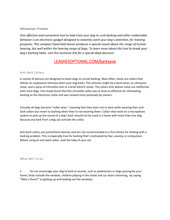# *Ultrasonic Trainer*

*One effective and convenient tool to help train your dog to curb barking and other undesirable behavior is an electronic gadget designed to instantly catch your dog's attention, for training purposes. This compact hand-held device produces a special sound above the range of human hearing, but well within the hearing range of dogs. To learn more about this tool to break your dog's barking habit, visit this exclusive link for a special deep discount:*

# [LEASHESOPTIONAL.COM/barksave](https://www.leashesoptional.com/barksave)

#### Anti-Bark Collars

A variety of devices are designed to teach dogs to curtail barking. Most often, these are collars that deliver an unpleasant stimulus when your dog barks. The stimulus might be a loud noise, an ultrasonic noise, and a spray of citronella mist or a brief electric shock. The collars that deliver noise are ineffective with most dogs. One study found that the citronella collar was at least as effective for eliminating barking as the electronic collar and was viewed more positively by owners.

Virtually all dogs become "collar-wise," meaning that they learn not to bark while wearing their antibark collars but revert to barking when they're not wearing them. Collars that work on a microphone system to pick up the sound of a dog's bark should not be used in a home with more than one dog because any bark from a dog can activate the collar.

Anti-bark collars are punishment devices and are not recommended as a first choice for dealing with a barking problem. This is especially true for barking that's motivated by fear, anxiety or compulsion. Before using an anti-bark collar, seek the help of your vet.

What NOT to Do

• Do not encourage your dog to bark at sounds, such as pedestrians or dogs passing by your home, birds outside the window, children playing in the street and car doors slamming, by saying "Who's there?" or getting up and looking out the windows.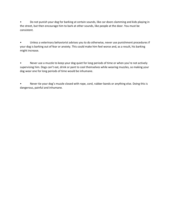• Do not punish your dog for barking at certain sounds, like car doors slamming and kids playing in the street, but then encourage him to bark at other sounds, like people at the door. You must be consistent.

• Unless a veterinary behaviorist advises you to do otherwise, never use punishment procedures if your dog is barking out of fear or anxiety. This could make him feel worse and, as a result, his barking might increase.

• Never use a muzzle to keep your dog quiet for long periods of time or when you're not actively supervising him. Dogs can't eat, drink or pant to cool themselves while wearing muzzles, so making your dog wear one for long periods of time would be inhumane.

• Never tie your dog's muzzle closed with rope, cord, rubber bands or anything else. Doing this is dangerous, painful and inhumane.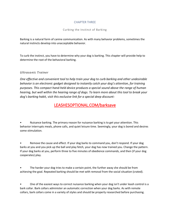# CHAPTER THREE

# Curbing the Instinct of Barking

Barking is a natural form of canine communication. As with many behavior problems, sometimes the natural instincts develop into unacceptable behavior.

To curb the instinct, you have to determine why your dog is barking. This chapter will provide help to determine the root of the behavioral barking.

# *Ultrasonic Trainer*

*One effective and convenient tool to help train your dog to curb barking and other undesirable behavior is an electronic gadget designed to instantly catch your dog's attention, for training purposes. This compact hand-held device produces a special sound above the range of human hearing, but well within the hearing range of dogs. To learn more about this tool to break your dog's barking habit, visit this exclusive link for a special deep discount:*

# [LEASHESOPTIONAL.COM/barksave](https://www.leashesoptional.com/barksave)

• Nuisance barking. The primary reason for nuisance barking is to get your attention. This behavior interrupts meals, phone calls, and quiet leisure time. Seemingly, your dog is bored and desires some stimulation.

• Remove the cause and effect. If your dog barks to command you, don't respond. If your dog barks at you and you pick up the ball and play fetch, your dog has now trained you. Change the pattern. If your dog barks at you, perform three to five minutes of obedience commands, and then (if your dog cooperates) play.

The harder your dog tries to make a certain point, the further away she should be from achieving the goal. Repeated barking should be met with removal from the social situation (crated).

• One of the easiest ways to correct nuisance barking when your dog isn't under leash control is a bark collar. Bark collars administer an automatic correction when your dog barks. As with remote collars, bark collars come in a variety of styles and should be properly researched before purchasing.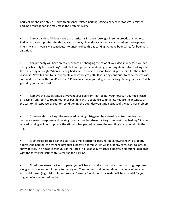Bark collars should only be used with nuisance-related barking. Using a bark collar for stress-related barking or threat barking may make the problem worse.

• Threat barking. All dogs have basic territorial instincts, stronger in some breeds than others. Barking usually stops after the threat is taken away. Boundary agitation can strengthen the response intensity and is typically a contributor to uncontrolled threat barking. Remove boundaries for boundary agitation.

• You probably will have an easier chance at changing the color of your dog's fur before you can extinguish a truly territorial dog's bark. But with proper conditioning, your dog should stop barking after the leader says enough! When your dog barks (and there is a reason to bark), praise him for the initial response. Next, tell him to "sit" to create a new thought path. If your dog continues to bark, correct with "no" and cue him with "quiet" and "sit." Praise as soon as your dog stops barking. Timing is crucial. Catch your dog on the first bark.

• Remove the visual stimulus. Prevent your dog from "patrolling" your house. If your dog insists on pacing from room to room, tether or post him with obedience commands. Reduce the intensity of the territorial response by counter-conditioning the boundary/agitation aspect of the behavior problem.

• Stress-related barking. Stress-related barking is triggered by a visual or noise stimulus that causes an anxiety response and barking. How can we tell stress barking from territorial barking? Stressrelated barking will not stop once the stimulus has passed because the resulting stress remains in the dog.

• Most stress-related barking starts as simple territorial barking. Not knowing how to properly address the barking, the owners introduce a negative stimulus like yelling, penny cans, bark collars, or spray bottles. The negative stimulus of the "quick fix" gradually attaches a negative emotional response with the territorial instinct, thus creating the barking.

• To address stress barking properly, you will have to address both the threat-barking response along with counter- conditioning to the trigger. The counter conditioning should be done when a real territorial threat (e.g., visitor) is not present. A strong foundation as a leader will be essential for your dog to defer to your redirection.

When Barking Becomes a Nuisance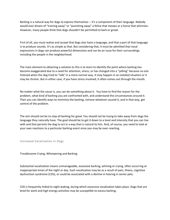Barking is a natural way for dogs to express themselves -- it's a component of their language. Nobody would ever dream of "training away" or "punishing away" a feline that meows or a horse that whinnies. However, many people think that dogs shouldn't be permitted to bark or growl.

First of all, you must realize and accept that dogs also have a language, and that a part of that language is to produce sounds. It's as simple as that. But considering that, it must be admitted that vocal expressions in dogs can produce powerful dimensions and can be an issue for their surroundings including the people in the neighborhood.

The main element to obtaining a solution to this is to learn to identify the point where barking has become exaggerated due to a need for attention, stress, or has changed into a "yelling" because no one listened when the dog tried to "talk" in a more normal way. It may happen in an isolated situation or it may be chronic. But in either case, if you have stress involved, it often comes out through the mouth.

No matter what the cause is, you can do something about it. You have to find the reason for the problem, what kind of barking you are confronted with, and understand the circumstances around it. Then you can identify ways to minimize the barking, remove whatever caused it, and in that way, get control of the problem.

The aim should not be to stop all barking for good. You should not be trying to take away from dogs the language they naturally have. The goal should be to get it down to a level and intensity that you can live with and that permits the dog to act in a way that is natural to him. And, of course, you need to look at your own reactions to a particular barking event since you may be over-reacting.

Increased Vocalization in Dogs

Troublesome Crying, Whimpering and Barking:

Substantial vocalization means unmanageable, excessive barking, whining or crying, often occurring at inappropriate times of the night or day. Such vocalization may be as a result of pain, illness, cognitive dysfunction syndrome (CDS), or could be associated with a decline in hearing in senior pets.

CDS is frequently linked to night waking, during which excessive vocalization takes place. Dogs that are bred for work and high energy activities may be susceptible to excess barking.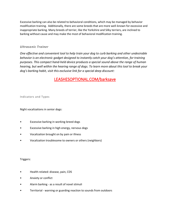Excessive barking can also be related to behavioral conditions, which may be managed by behavior modification training. Additionally, there are some breeds that are more well-known for excessive and inappropriate barking. Many breeds of terrier, like the Yorkshire and Silky terriers, are inclined to barking without cause and may make the most of behavioral modification training.

# *Ultrasonic Trainer*

*One effective and convenient tool to help train your dog to curb barking and other undesirable behavior is an electronic gadget designed to instantly catch your dog's attention, for training purposes. This compact hand-held device produces a special sound above the range of human hearing, but well within the hearing range of dogs. To learn more about this tool to break your dog's barking habit, visit this exclusive link for a special deep discount:*

# [LEASHESOPTIONAL.COM/barksave](https://www.leashesoptional.com/barksave)

Indicators and Types

Night vocalizations in senior dogs:

- Excessive barking in working-breed dogs
- Excessive barking in high energy, nervous dogs
- Vocalization brought on by pain or illness
- Vocalization troublesome to owners or others (neighbors)

Triggers:

- Health-related: disease, pain, CDS
- Anxiety or conflict
- Alarm barking as a result of novel stimuli
- Territorial warning or guarding reaction to sounds from outdoors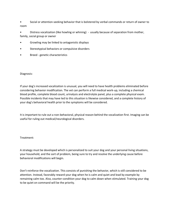• Social or attention-seeking behavior that is bolstered by verbal commands or return of owner to room

• Distress vocalization (like howling or whining) - usually because of separation from mother, family, social group or owner

- Growling may be linked to antagonistic displays
- Stereotypical behaviors or compulsive disorders
- Breed genetic characteristics

#### Diagnosis:

If your dog's increased vocalization is unusual, you will need to have health problems eliminated before considering behavior modification. The vet can perform a full medical work-up, including a chemical blood profile, complete blood count, urinalysis and electrolyte panel, plus a complete physical exam. Possible incidents that may have led to this situation is likewise considered, and a complete history of your dog's behavioral health prior to the symptoms will be considered.

It is important to rule out a non-behavioral, physical reason behind the vocalization first. Imaging can be useful for ruling out medical/neurological disorders.

#### Treatment:

A strategy must be developed which is personalized to suit your dog and your personal living situations, your household, and the sort of problem, being sure to try and resolve the underlying cause before behavioral modifications will begin.

Don't reinforce the vocalization. This consists of punishing the behavior, which is still considered to be attention. Instead, favorably reward your dog when he is calm and quiet and lead by example by remaining calm too. Also, counter-condition your dog to calm down when stimulated. Training your dog to be quiet on command will be the priority.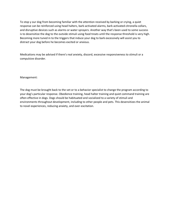To stop y our dog from becoming familiar with the attention received by barking or crying, a quiet response can be reinforced using head halters, bark-activated alarms, bark-activated citronella collars, and disruptive devices such as alarms or water sprayers. Another way that's been used to some success is to desensitize the dog to the outside stimuli using food treats until the response threshold is very high. Becoming more tuned in to the triggers that induce your dog to bark excessively will assist you to distract your dog before he becomes excited or anxious.

Medications may be advised if there's real anxiety, discord, excessive responsiveness to stimuli or a compulsive disorder.

Management:

The dog must be brought back to the vet or to a behavior specialist to change the program according to your dog's particular response. Obedience training, head halter training and quiet command training are often effective in dogs. Dogs should be habituated and socialized to a variety of stimuli and environments throughout development, including to other people and pets. This desensitizes the animal to novel experiences, reducing anxiety, and over-excitation.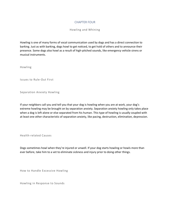# CHAPTER FOUR

Howling and Whining

Howling is one of many forms of vocal communication used by dogs and has a direct connection to barking. Just as with barking, dogs howl to get noticed, to get hold of others and to announce their presence. Some dogs also howl as a result of high-pitched sounds, like emergency vehicle sirens or musical instruments.

Howling

Issues to Rule-Out First

Separation Anxiety Howling

If your neighbors call you and tell you that your dog is howling when you are at work, your dog's extreme howling may be brought on by separation anxiety. Separation anxiety howling only takes place when a dog is left alone or else separated from his human. This type of howling is usually coupled with at least one other characteristic of separation anxiety, like pacing, destruction, elimination, depression.

Health-related Causes

Dogs sometimes howl when they're injured or unwell. If your dog starts howling or howls more than ever before, take him to a vet to eliminate sickness and injury prior to doing other things.

How to Handle Excessive Howling

Howling in Response to Sounds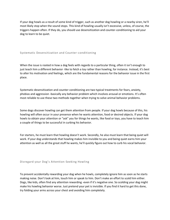If your dog howls as a result of some kind of trigger, such as another dog howling or a nearby siren, he'll most likely stop when the sound stops. This kind of howling usually isn't excessive, unless, of course, the triggers happen often. If they do, you should use desensitization and counter-conditioning to aid your dog to learn to be quiet.

## Systematic Desensitization and Counter-conditioning

When the issue is rooted in how a dog feels with regards to a particular thing, often it isn't enough to just teach him a different behavior -like to fetch a toy rather than howling, for instance. Instead, it's best to alter his motivation and feelings, which are the fundamental reasons for the behavior issue in the first place.

Systematic desensitization and counter-conditioning are two typical treatments for fears, anxiety, phobias and aggression -basically any behavior problem which involves arousal or emotions. It's often most reliable to use these two methods together when trying to solve animal behavior problems.

Some dogs discover howling can get them attention from people. If your dog howls because of this, his howling will often occur in your presence when he wants attention, food or desired objects. If your dog howls to obtain your attention or "ask" you for things he wants, like food or toys, you have to teach him a couple of things to be successful in curbing his behavior.

For starters, he must learn that howling doesn't work. Secondly, he also must learn that being quiet will work. If your dog understands that howling makes him invisible to you and being quiet earns him your attention as well as all the great stuff he wants, he'll quickly figure out how to curb his vocal behavior.

#### Disregard your Dog's Attention-Seeking Howling

To prevent accidentally rewarding your dog when he howls, completely ignore him as soon as he starts making noise. Don't look at him, touch him or speak to him. Don't make an effort to scold him either. Dogs, like kids, often find any attention rewarding -even if it's negative one. So scolding your dog might make his howling behavior worse. Just pretend your pet is invisible. If you find it hard to get this done, try folding your arms across your chest and avoiding him completely.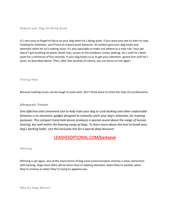Reward your Dog for being Quiet

It's very easy to forget to focus on your dog when he's being quiet. If you want your pet to learn to stop howling for attention, you'll have to reward quiet behavior. At random give your dog treats and attention when he isn't making noise. It's also advisable to make and adhere to a new rule: Your pet doesn't get anything he wants (food, toys, access to the outdoors, treats, petting, etc.) until he's been quiet for a minimum of five seconds. If your dog howls so as to get your attention, ignore him until he's quiet, as described above. Then, after few seconds of silence, you can focus on him again.

Finding Help

Because howling issues can be tough to work with, don't think twice to enlist the help of a professional.

# *Ultrasonic Trainer*

*One effective and convenient tool to help train your dog to curb barking and other undesirable behavior is an electronic gadget designed to instantly catch your dog's attention, for training purposes. This compact hand-held device produces a special sound above the range of human hearing, but well within the hearing range of dogs. To learn more about this tool to break your dog's barking habit, visit this exclusive link for a special deep discount:*

# [LEASHESOPTIONAL.COM/barksave](https://www.leashesoptional.com/barksave)

Whining

Whining is yet again, one of the many forms of dog vocal communication and has a close connection with barking. Dogs most often whine when they're seeking attention, when they're excited, when they're anxious or when they're trying to appease you.

Why Do Dogs Whine?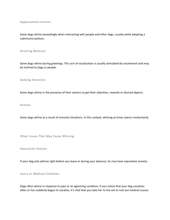Appeasement Actions

Some dogs whine exceedingly when interacting with people and other dogs, usually while adopting a submissive posture.

#### Greeting Behavior

Some dogs whine during greetings. This sort of vocalization is usually stimulated by excitement and may be inclined to dogs or people.

Seeking Attention

Some dogs whine in the presence of their owners to get their attention, rewards or desired objects.

Anxiety

Some dogs whine as a result of stressful situations. In this context, whining at times seems involuntarily.

Other Issues That May Cause Whining

Separation Anxiety

If your dog only whines right before you leave or during your absence, he may have separation anxiety.

Injury or Medical Condition

Dogs often whine in response to pain or an agonizing condition. If you notice that your dog vocalizes often or has suddenly begun to vocalize, it's vital that you take her to the vet to rule out medical causes.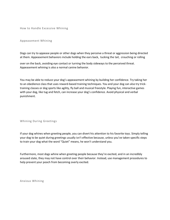How to Handle Excessive Whining

#### Appeasement Whining

Dogs can try to appease people or other dogs when they perceive a threat or aggression being directed at them. Appeasement behaviors include holding the ears back, tucking the tail, crouching or rolling

over on the back, avoiding eye contact or turning the body sideways to the perceived threat. Appeasement whining is also a normal canine behavior.

You may be able to reduce your dog's appeasement whining by building her confidence. Try taking her to an obedience class that uses reward-based training techniques. You and your dog can also try tricktraining classes or dog sports like agility, fly ball and musical freestyle. Playing fun, interactive games with your dog, like tug and fetch, can increase your dog's confidence. Avoid physical and verbal punishment.

## Whining During Greetings

If your dog whines when greeting people, you can divert his attention to his favorite toys. Simply telling your dog to be quiet during greetings usually isn't effective because, unless you've taken specific steps to train your dog what the word "Quiet" means, he won't understand you.

Furthermore, most dogs whine when greeting people because they're excited, and in an incredibly aroused state, they may not have control over their behavior. Instead, use management procedures to help prevent your pooch from becoming overly excited.

Anxious Whining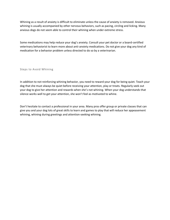Whining as a result of anxiety is difficult to eliminate unless the cause of anxiety is removed. Anxious whining is usually accompanied by other nervous behaviors, such as pacing, circling and licking. Many anxious dogs do not seem able to control their whining when under extreme stress.

Some medications may help reduce your dog's anxiety. Consult your pet doctor or a board-certified veterinary behaviorist to learn more about anti-anxiety medications. Do not give your dog any kind of medication for a behavior problem unless directed to do so by a veterinarian.

Steps to Avoid Whining

In addition to not reinforcing whining behavior, you need to reward your dog for being quiet. Teach your dog that she must always be quiet before receiving your attention, play or treats. Regularly seek out your dog to give her attention and rewards when she's not whining. When your dog understands that silence works well to get your attention, she won't feel as motivated to whine.

Don't hesitate to contact a professional in your area. Many pros offer group or private classes that can give you and your dog lots of great skills to learn and games to play that will reduce her appeasement whining, whining during greetings and attention-seeking whining.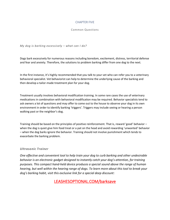# CHAPTER FIVE

## Common Questions

*My dog is barking excessively – what can I do?*

Dogs bark excessively for numerous reasons including boredom, excitement, distress, territorial defense and fear and anxiety. Therefore, the solutions to problem barking differ from one dog to the next.

In the first instance, it's highly recommended that you talk to your vet who can refer you to a veterinary behavioral specialist. Vet behaviorist can help to determine the underlying cause of the barking and then develop a tailor-made treatment plan for your dog.

Treatment usually involves behavioral modification training. In some rare cases the use of veterinary medications in combination with behavioral modification may be required. Behavior specialists tend to ask owners a lot of questions and may offer to come out to the house to observe your dog in its own environment in order to identify barking 'triggers'. Triggers may include seeing or hearing a person walking past or the neighbor's dog.

Training should be based on the principles of positive reinforcement. That is, reward 'good' behavior – when the dog is quiet give him food treat or a pat on the head and avoid rewarding 'unwanted' behavior – when the dog barks ignore the behavior. Training should not involve punishment which tends to exacerbate the barking problem.

# *Ultrasonic Trainer*

*One effective and convenient tool to help train your dog to curb barking and other undesirable behavior is an electronic gadget designed to instantly catch your dog's attention, for training purposes. This compact hand-held device produces a special sound above the range of human hearing, but well within the hearing range of dogs. To learn more about this tool to break your dog's barking habit, visit this exclusive link for a special deep discount:*

# [LEASHESOPTIONAL.COM/barksave](https://www.leashesoptional.com/barksave)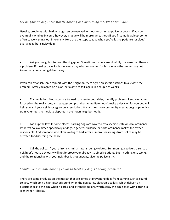# *My neighbor's dog is constantly barking and disturbing me. What can I do?*

Usually, problems with barking dogs can be resolved without resorting to police or courts. If you do eventually wind up in court, however, a judge will be more sympathetic if you first made at least some effort to work things out informally. Here are the steps to take when you're losing patience (or sleep) over a neighbor's noisy dog:

Ask your neighbor to keep the dog quiet. Sometimes owners are blissfully unaware that there's a problem. If the dog barks for hours every day -- but only when it's left alone -- the owner may not know that you're being driven crazy.

If you can establish some rapport with the neighbor, try to agree on specific actions to alleviate the problem. After you agree on a plan, set a date to talk again in a couple of weeks.

• Try mediation. Mediators are trained to listen to both sides, identify problems, keep everyone focused on the real issues, and suggest compromises. A mediator won't make a decision for you but will help you and your neighbor agree on a resolution. Many cities have community mediation groups which train volunteers to mediate disputes in their own neighborhoods.

• Look up the law. In some places, barking dogs are covered by a specific state or local ordinance. If there's no law aimed specifically at dogs, a general nuisance or noise ordinance makes the owner responsible. And someone who allows a dog to bark after numerous warnings from police may be arrested for disturbing the peace.

• Call the police, if you think a criminal law is being violated. Summoning a police cruiser to a neighbor's house obviously will not improve your already -strained relations. But if nothing else works, and the relationship with your neighbor is shot anyway, give the police a try.

## *Should I use an anti-barking collar to treat my dog's barking problem?*

There are some products on the market that are aimed at preventing dogs from barking such as sound collars, which emit a high-pitched sound when the dog barks, electronic collars, which deliver an electric shock to the dog when it barks, and citronella collars, which spray the dog's face with citronella scent when it barks.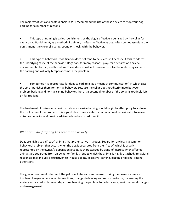The majority of vets and professionals DON'T recommend the use of these devices to stop your dog barking for a number of reasons:

• This type of training is called 'punishment' as the dog is effectively punished by the collar for every bark. Punishment, as a method of training, is often ineffective as dogs often do not associate the punishment (the citronella spray, sound or shock) with the behavior.

• This type of behavioral modification does not tend to be successful because it fails to address the underlying cause of the behavior. Dogs bark for many reasons: play, fear, separation anxiety, environmental factors, and boredom. These devices will not necessarily solve the underlying cause of the barking and will only temporarily mask the problem.

• Sometimes it is appropriate for dogs to bark (e.g. as a means of communication) in which case the collar punishes them for normal behavior. Because the collar does not discriminate between problem barking and normal canine behavior, there is a potential for abuse if the collar is routinely left on for too long.

The treatment of nuisance behaviors such as excessive barking should begin by attempting to address the root cause of the problem. It is a good idea to see a veterinarian or animal behavioralist to assess nuisance behavior and provide advice on how best to address it.

## *What can I do if my dog has separation anxiety?*

Dogs are highly social "pack" animals that prefer to live in groups. Separation anxiety is a common behavioral problem that occurs when the dog is separated from their "pack" which is usually represented by the owner/s. Separation anxiety is characterized by signs of distress when affected animals are separated from an owner or family group to which the animal is highly attached. Behavioral responses may include destructiveness, house-soiling, excessive barking, digging or pacing, among other signs.

The goal of treatment is to teach the pet how to be calm and relaxed during the owner's absence. It involves changes in pet-owner interactions, changes in leaving and return protocols, decreasing the anxiety associated with owner departure, teaching the pet how to be left alone, environmental changes and management.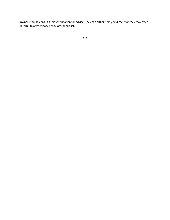Owners should consult their veterinarian for advice. They can either help you directly or they may offer referral to a veterinary behavioral specialist.

\*\*\*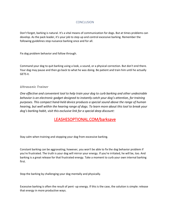# CONCLUSION

Don't forget, barking is natural. It's a vital means of communication for dogs. But at times problems can develop. As the pack leader, it's your job to step up and control excessive barking. Remember the following guidelines stop nuisance barking once and for all.

Fix dog problem behavior and follow through.

Command your dog to quit barking using a look, a sound, or a physical correction. But don't end there. Your dog may pause and then go back to what he was doing. Be patient and train him until he actually GETS it.

# *Ultrasonic Trainer*

*One effective and convenient tool to help train your dog to curb barking and other undesirable behavior is an electronic gadget designed to instantly catch your dog's attention, for training purposes. This compact hand-held device produces a special sound above the range of human hearing, but well within the hearing range of dogs. To learn more about this tool to break your dog's barking habit, visit this exclusive link for a special deep discount:*

# [LEASHESOPTIONAL.COM/barksave](https://www.leashesoptional.com/barksave)

Stay calm when training and stopping your dog from excessive barking.

Constant barking can be aggravating; however, you won't be able to fix the dog behavior problem if you're frustrated. The truth is your dog will mirror your energy. If you're irritated, he will be, too. And barking is a great release for that frustrated energy. Take a moment to curb your own internal barking first.

Stop the barking by challenging your dog mentally and physically.

Excessive barking is often the result of pent -up energy. If this is the case, the solution is simple: release that energy in more productive ways.